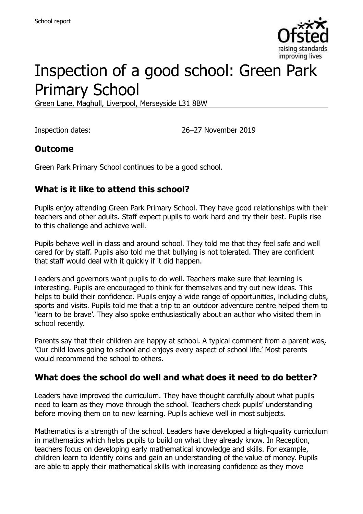

# Inspection of a good school: Green Park Primary School

Green Lane, Maghull, Liverpool, Merseyside L31 8BW

Inspection dates: 26–27 November 2019

#### **Outcome**

Green Park Primary School continues to be a good school.

#### **What is it like to attend this school?**

Pupils enjoy attending Green Park Primary School. They have good relationships with their teachers and other adults. Staff expect pupils to work hard and try their best. Pupils rise to this challenge and achieve well.

Pupils behave well in class and around school. They told me that they feel safe and well cared for by staff. Pupils also told me that bullying is not tolerated. They are confident that staff would deal with it quickly if it did happen.

Leaders and governors want pupils to do well. Teachers make sure that learning is interesting. Pupils are encouraged to think for themselves and try out new ideas. This helps to build their confidence. Pupils enjoy a wide range of opportunities, including clubs, sports and visits. Pupils told me that a trip to an outdoor adventure centre helped them to 'learn to be brave'. They also spoke enthusiastically about an author who visited them in school recently.

Parents say that their children are happy at school. A typical comment from a parent was, 'Our child loves going to school and enjoys every aspect of school life.' Most parents would recommend the school to others.

#### **What does the school do well and what does it need to do better?**

Leaders have improved the curriculum. They have thought carefully about what pupils need to learn as they move through the school. Teachers check pupils' understanding before moving them on to new learning. Pupils achieve well in most subjects.

Mathematics is a strength of the school. Leaders have developed a high-quality curriculum in mathematics which helps pupils to build on what they already know. In Reception, teachers focus on developing early mathematical knowledge and skills. For example, children learn to identify coins and gain an understanding of the value of money. Pupils are able to apply their mathematical skills with increasing confidence as they move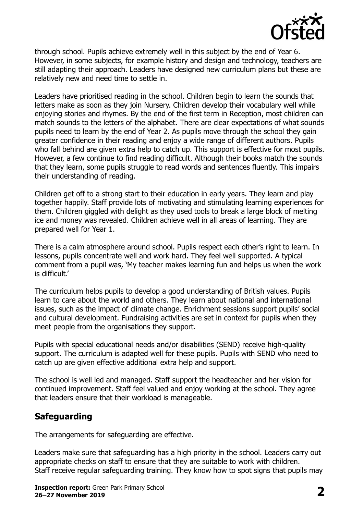

through school. Pupils achieve extremely well in this subject by the end of Year 6. However, in some subjects, for example history and design and technology, teachers are still adapting their approach. Leaders have designed new curriculum plans but these are relatively new and need time to settle in.

Leaders have prioritised reading in the school. Children begin to learn the sounds that letters make as soon as they join Nursery. Children develop their vocabulary well while enjoying stories and rhymes. By the end of the first term in Reception, most children can match sounds to the letters of the alphabet. There are clear expectations of what sounds pupils need to learn by the end of Year 2. As pupils move through the school they gain greater confidence in their reading and enjoy a wide range of different authors. Pupils who fall behind are given extra help to catch up. This support is effective for most pupils. However, a few continue to find reading difficult. Although their books match the sounds that they learn, some pupils struggle to read words and sentences fluently. This impairs their understanding of reading.

Children get off to a strong start to their education in early years. They learn and play together happily. Staff provide lots of motivating and stimulating learning experiences for them. Children giggled with delight as they used tools to break a large block of melting ice and money was revealed. Children achieve well in all areas of learning. They are prepared well for Year 1.

There is a calm atmosphere around school. Pupils respect each other's right to learn. In lessons, pupils concentrate well and work hard. They feel well supported. A typical comment from a pupil was, 'My teacher makes learning fun and helps us when the work is difficult.'

The curriculum helps pupils to develop a good understanding of British values. Pupils learn to care about the world and others. They learn about national and international issues, such as the impact of climate change. Enrichment sessions support pupils' social and cultural development. Fundraising activities are set in context for pupils when they meet people from the organisations they support.

Pupils with special educational needs and/or disabilities (SEND) receive high-quality support. The curriculum is adapted well for these pupils. Pupils with SEND who need to catch up are given effective additional extra help and support.

The school is well led and managed. Staff support the headteacher and her vision for continued improvement. Staff feel valued and enjoy working at the school. They agree that leaders ensure that their workload is manageable.

## **Safeguarding**

The arrangements for safeguarding are effective.

Leaders make sure that safeguarding has a high priority in the school. Leaders carry out appropriate checks on staff to ensure that they are suitable to work with children. Staff receive regular safeguarding training. They know how to spot signs that pupils may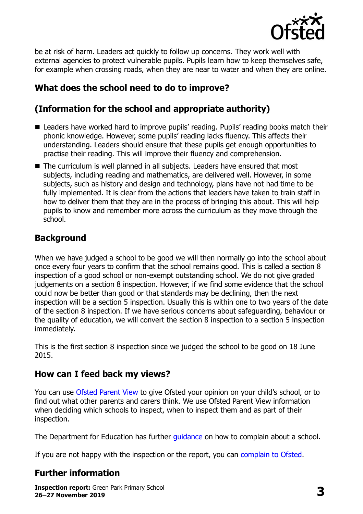

be at risk of harm. Leaders act quickly to follow up concerns. They work well with external agencies to protect vulnerable pupils. Pupils learn how to keep themselves safe, for example when crossing roads, when they are near to water and when they are online.

## **What does the school need to do to improve?**

## **(Information for the school and appropriate authority)**

- Leaders have worked hard to improve pupils' reading. Pupils' reading books match their phonic knowledge. However, some pupils' reading lacks fluency. This affects their understanding. Leaders should ensure that these pupils get enough opportunities to practise their reading. This will improve their fluency and comprehension.
- The curriculum is well planned in all subjects. Leaders have ensured that most subjects, including reading and mathematics, are delivered well. However, in some subjects, such as history and design and technology, plans have not had time to be fully implemented. It is clear from the actions that leaders have taken to train staff in how to deliver them that they are in the process of bringing this about. This will help pupils to know and remember more across the curriculum as they move through the school.

## **Background**

When we have judged a school to be good we will then normally go into the school about once every four years to confirm that the school remains good. This is called a section 8 inspection of a good school or non-exempt outstanding school. We do not give graded judgements on a section 8 inspection. However, if we find some evidence that the school could now be better than good or that standards may be declining, then the next inspection will be a section 5 inspection. Usually this is within one to two years of the date of the section 8 inspection. If we have serious concerns about safeguarding, behaviour or the quality of education, we will convert the section 8 inspection to a section 5 inspection immediately.

This is the first section 8 inspection since we judged the school to be good on 18 June 2015.

## **How can I feed back my views?**

You can use [Ofsted Parent View](https://parentview.ofsted.gov.uk/) to give Ofsted your opinion on your child's school, or to find out what other parents and carers think. We use Ofsted Parent View information when deciding which schools to inspect, when to inspect them and as part of their inspection.

The Department for Education has further quidance on how to complain about a school.

If you are not happy with the inspection or the report, you can [complain to Ofsted.](https://www.gov.uk/complain-ofsted-report)

## **Further information**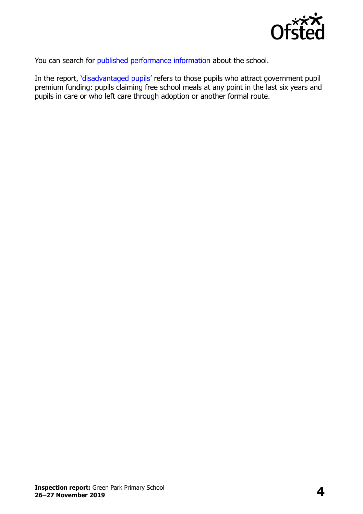

You can search for [published performance information](http://www.compare-school-performance.service.gov.uk/) about the school.

In the report, '[disadvantaged pupils](http://www.gov.uk/guidance/pupil-premium-information-for-schools-and-alternative-provision-settings)' refers to those pupils who attract government pupil premium funding: pupils claiming free school meals at any point in the last six years and pupils in care or who left care through adoption or another formal route.

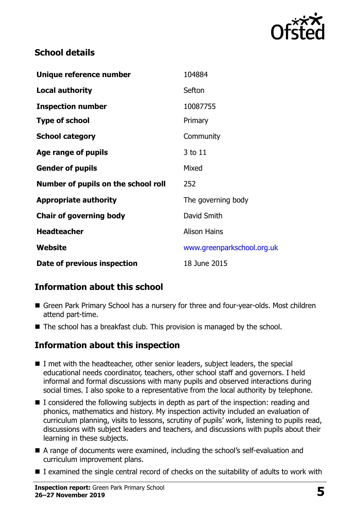

#### **School details**

| Unique reference number             | 104884                     |
|-------------------------------------|----------------------------|
| <b>Local authority</b>              | Sefton                     |
| <b>Inspection number</b>            | 10087755                   |
| <b>Type of school</b>               | Primary                    |
| <b>School category</b>              | Community                  |
| Age range of pupils                 | 3 to 11                    |
| <b>Gender of pupils</b>             | Mixed                      |
| Number of pupils on the school roll | 252                        |
| <b>Appropriate authority</b>        | The governing body         |
| <b>Chair of governing body</b>      | David Smith                |
| <b>Headteacher</b>                  | <b>Alison Hains</b>        |
| Website                             | www.greenparkschool.org.uk |
| Date of previous inspection         | 18 June 2015               |

## **Information about this school**

- Green Park Primary School has a nursery for three and four-year-olds. Most children attend part-time.
- $\blacksquare$  The school has a breakfast club. This provision is managed by the school.

#### **Information about this inspection**

- I met with the headteacher, other senior leaders, subject leaders, the special educational needs coordinator, teachers, other school staff and governors. I held informal and formal discussions with many pupils and observed interactions during social times. I also spoke to a representative from the local authority by telephone.
- $\blacksquare$  I considered the following subjects in depth as part of the inspection: reading and phonics, mathematics and history. My inspection activity included an evaluation of curriculum planning, visits to lessons, scrutiny of pupils' work, listening to pupils read, discussions with subject leaders and teachers, and discussions with pupils about their learning in these subjects.
- A range of documents were examined, including the school's self-evaluation and curriculum improvement plans.
- I examined the single central record of checks on the suitability of adults to work with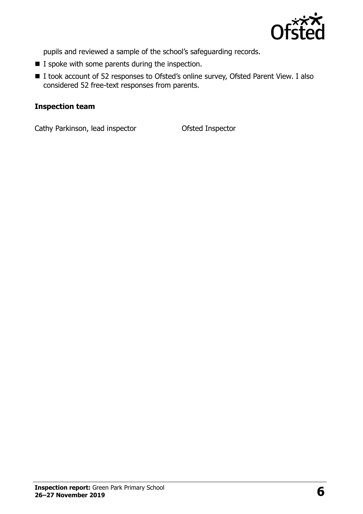

pupils and reviewed a sample of the school's safeguarding records.

- $\blacksquare$  I spoke with some parents during the inspection.
- I took account of 52 responses to Ofsted's online survey, Ofsted Parent View. I also considered 52 free-text responses from parents.

#### **Inspection team**

Cathy Parkinson, lead inspector **Ofsted Inspector**